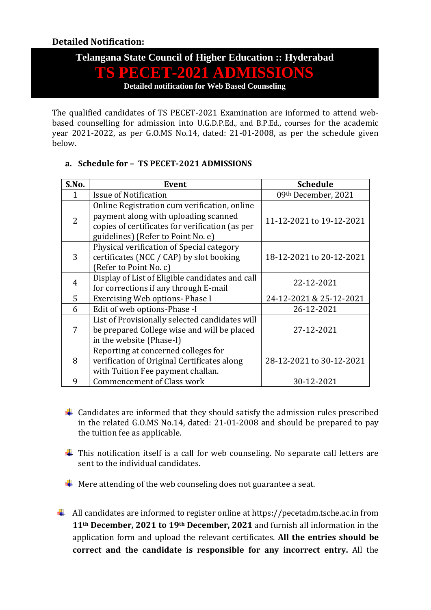## **Telangana State Council of Higher Education :: Hyderabad**

# **TS PECET-2021 ADMISSIONS**

**Detailed notification for Web Based Counseling**

The qualified candidates of TS PECET-2021 Examination are informed to attend webbased counselling for admission into U.G.D.P.Ed., and B.P.Ed., courses for the academic year 2021-2022, as per G.O.MS No.14, dated: 21-01-2008, as per the schedule given below.

| S.No. | Event                                                                                                                                                                         | <b>Schedule</b>          |
|-------|-------------------------------------------------------------------------------------------------------------------------------------------------------------------------------|--------------------------|
|       | <b>Issue of Notification</b>                                                                                                                                                  | 09th December, 2021      |
| 2     | Online Registration cum verification, online<br>payment along with uploading scanned<br>copies of certificates for verification (as per<br>guidelines) (Refer to Point No. e) | 11-12-2021 to 19-12-2021 |
| 3     | Physical verification of Special category<br>certificates (NCC / CAP) by slot booking<br>(Refer to Point No. c)                                                               | 18-12-2021 to 20-12-2021 |
| 4     | Display of List of Eligible candidates and call<br>for corrections if any through E-mail                                                                                      | 22-12-2021               |
| 5     | Exercising Web options- Phase I                                                                                                                                               | 24-12-2021 & 25-12-2021  |
| 6     | Edit of web options-Phase -I                                                                                                                                                  | 26-12-2021               |
| 7     | List of Provisionally selected candidates will<br>be prepared College wise and will be placed<br>in the website (Phase-I)                                                     | 27-12-2021               |
| 8     | Reporting at concerned colleges for<br>verification of Original Certificates along<br>with Tuition Fee payment challan.                                                       | 28-12-2021 to 30-12-2021 |
| 9     | <b>Commencement of Class work</b>                                                                                                                                             | 30-12-2021               |

## **a. Schedule for – TS PECET-2021 ADMISSIONS**

- $\ddot{+}$  Candidates are informed that they should satisfy the admission rules prescribed in the related G.O.MS No.14, dated: 21-01-2008 and should be prepared to pay the tuition fee as applicable.
- $\ddot{+}$  This notification itself is a call for web counseling. No separate call letters are sent to the individual candidates.
- $\frac{1}{\sqrt{1}}$  Mere attending of the web counseling does not guarantee a seat.
- $\downarrow$  All candidates are informed to register online at https://pecetadm.tsche.ac.in from **11th December, 2021 to 19th December, 2021** and furnish all information in the application form and upload the relevant certificates. **All the entries should be correct and the candidate is responsible for any incorrect entry.** All the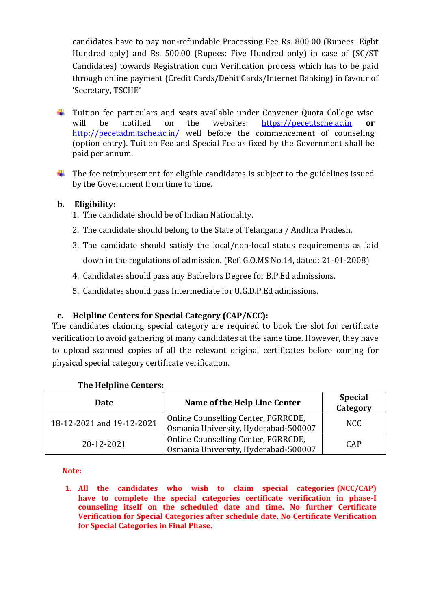candidates have to pay non-refundable Processing Fee Rs. 800.00 (Rupees: Eight Hundred only) and Rs. 500.00 (Rupees: Five Hundred only) in case of (SC/ST Candidates) towards Registration cum Verification process which has to be paid through online payment (Credit Cards/Debit Cards/Internet Banking) in favour of 'Secretary, TSCHE'

- $\ddot{\phantom{1}}$  Tuition fee particulars and seats available under Convener Quota College wise will be notified on the websites: [https://pecet.tsche.ac.in](https://pecet.tsche.ac.in/) **or**  <http://pecetadm.tsche.ac.in/> well before the commencement of counseling (option entry). Tuition Fee and Special Fee as fixed by the Government shall be paid per annum.
- $\ddot{\phantom{1}}$  The fee reimbursement for eligible candidates is subject to the guidelines issued by the Government from time to time.

## **b. Eligibility:**

- 1. The candidate should be of Indian Nationality.
- 2. The candidate should belong to the State of Telangana / Andhra Pradesh.
- 3. The candidate should satisfy the local/non-local status requirements as laid down in the regulations of admission. (Ref. G.O.MS No.14, dated: 21-01-2008)
- 4. Candidates should pass any Bachelors Degree for B.P.Ed admissions.
- 5. Candidates should pass Intermediate for U.G.D.P.Ed admissions.

## **c. Helpline Centers for Special Category (CAP/NCC):**

The candidates claiming special category are required to book the slot for certificate verification to avoid gathering of many candidates at the same time. However, they have to upload scanned copies of all the relevant original certificates before coming for physical special category certificate verification.

| Date                      | Name of the Help Line Center                                                | <b>Special</b><br>Category |
|---------------------------|-----------------------------------------------------------------------------|----------------------------|
| 18-12-2021 and 19-12-2021 | Online Counselling Center, PGRRCDE,<br>Osmania University, Hyderabad-500007 | NCC.                       |
| 20-12-2021                | Online Counselling Center, PGRRCDE,<br>Osmania University, Hyderabad-500007 | <b>CAP</b>                 |

## **The Helpline Centers:**

**Note:** 

**1. All the candidates who wish to claim special categories (NCC/CAP) have to complete the special categories certificate verification in phase-I counseling itself on the scheduled date and time. No further Certificate Verification for Special Categories after schedule date. No Certificate Verification for Special Categories in Final Phase.**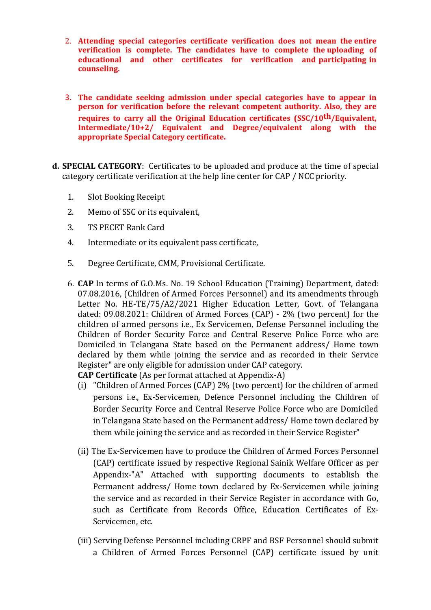- 2. **Attending special categories certificate verification does not mean the entire verification is complete. The candidates have to complete the uploading of educational and other certificates for verification and participating in counseling.**
- 3. **The candidate seeking admission under special categories have to appear in person for verification before the relevant competent authority. Also, they are requires to carry all the Original Education certificates (SSC/10th/Equivalent, Intermediate/10+2/ Equivalent and Degree/equivalent along with the appropriate Special Category certificate.**
- **d. SPECIAL CATEGORY**: Certificates to be uploaded and produce at the time of special category certificate verification at the help line center for CAP / NCC priority.
	- 1. Slot Booking Receipt
	- 2. Memo of SSC or its equivalent,
	- 3. TS PECET Rank Card
	- 4. Intermediate or its equivalent pass certificate,
	- 5. Degree Certificate, CMM, Provisional Certificate.
	- 6. **CAP** In terms of G.O.Ms. No. 19 School Education (Training) Department, dated: 07.08.2016, (Children of Armed Forces Personnel) and its amendments through Letter No. HE-TE/75/A2/2021 Higher Education Letter, Govt. of Telangana dated: 09.08.2021: Children of Armed Forces (CAP) - 2% (two percent) for the children of armed persons i.e., Ex Servicemen, Defense Personnel including the Children of Border Security Force and Central Reserve Police Force who are Domiciled in Telangana State based on the Permanent address/ Home town declared by them while joining the service and as recorded in their Service Register" are only eligible for admission under CAP category.

**CAP Certificate** (As per format attached at Appendix-A)

- (i) "Children of Armed Forces (CAP) 2% (two percent) for the children of armed persons i.e., Ex-Servicemen, Defence Personnel including the Children of Border Security Force and Central Reserve Police Force who are Domiciled in Telangana State based on the Permanent address/ Home town declared by them while joining the service and as recorded in their Service Register"
- (ii) The Ex-Servicemen have to produce the Children of Armed Forces Personnel (CAP) certificate issued by respective Regional Sainik Welfare Officer as per Appendix-"A" Attached with supporting documents to establish the Permanent address/ Home town declared by Ex-Servicemen while joining the service and as recorded in their Service Register in accordance with Go, such as Certificate from Records Office, Education Certificates of Ex-Servicemen, etc.
- (iii) Serving Defense Personnel including CRPF and BSF Personnel should submit a Children of Armed Forces Personnel (CAP) certificate issued by unit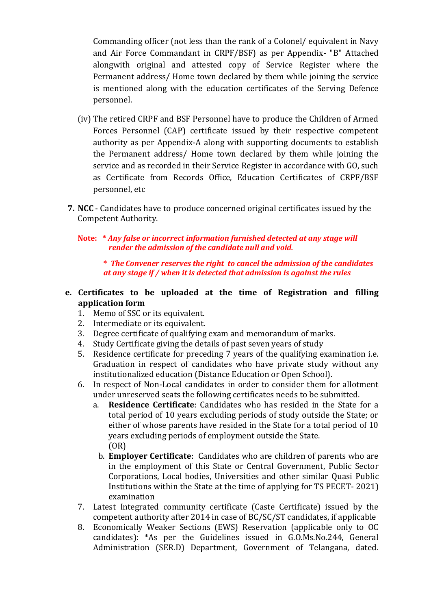Commanding officer (not less than the rank of a Colonel/ equivalent in Navy and Air Force Commandant in CRPF/BSF) as per Appendix- "B" Attached alongwith original and attested copy of Service Register where the Permanent address/ Home town declared by them while joining the service is mentioned along with the education certificates of the Serving Defence personnel.

- (iv) The retired CRPF and BSF Personnel have to produce the Children of Armed Forces Personnel (CAP) certificate issued by their respective competent authority as per Appendix-A along with supporting documents to establish the Permanent address/ Home town declared by them while joining the service and as recorded in their Service Register in accordance with GO, such as Certificate from Records Office, Education Certificates of CRPF/BSF personnel, etc
- **7. NCC** Candidates have to produce concerned original certificates issued by the Competent Authority.
	- **Note: \*** *Any false or incorrect information furnished detected at any stage will render the admission of the candidate null and void.*

**\*** *The Convener reserves the right to cancel the admission of the candidates at any stage if / when it is detected that admission is against the rules*

- **e. Certificates to be uploaded at the time of Registration and filling application form**
	- 1. Memo of SSC or its equivalent.
	- 2. Intermediate or its equivalent.
	- 3. Degree certificate of qualifying exam and memorandum of marks.
	- 4. Study Certificate giving the details of past seven years of study
	- 5. Residence certificate for preceding 7 years of the qualifying examination i.e. Graduation in respect of candidates who have private study without any institutionalized education (Distance Education or Open School).
	- 6. In respect of Non-Local candidates in order to consider them for allotment under unreserved seats the following certificates needs to be submitted.
		- a. **Residence Certificate**: Candidates who has resided in the State for a total period of 10 years excluding periods of study outside the State; or either of whose parents have resided in the State for a total period of 10 years excluding periods of employment outside the State. (OR)
		- b. **Employer Certificate**: Candidates who are children of parents who are in the employment of this State or Central Government, Public Sector Corporations, Local bodies, Universities and other similar Quasi Public Institutions within the State at the time of applying for TS PECET- 2021) examination
	- 7. Latest Integrated community certificate (Caste Certificate) issued by the competent authority after 2014 in case of BC/SC/ST candidates, if applicable
	- 8. Economically Weaker Sections (EWS) Reservation (applicable only to OC candidates): \*As per the Guidelines issued in G.O.Ms.No.244, General Administration (SER.D) Department, Government of Telangana, dated.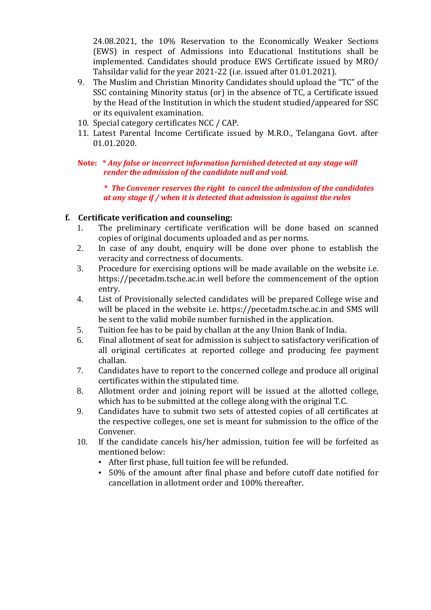24.08.2021, the 10% Reservation to the Economically Weaker Sections (EWS) in respect of Admissions into Educational Institutions shall be implemented. Candidates should produce EWS Certificate issued by MRO/ Tahsildar valid for the year 2021-22 (i.e. issued after 01.01.2021).

- 9. The Muslim and Christian Minority Candidates should upload the "TC" of the SSC containing Minority status (or) in the absence of TC, a Certificate issued by the Head of the Institution in which the student studied/appeared for SSC or its equivalent examination.
- 10. Special category certificates NCC / CAP.
- 11. Latest Parental Income Certificate issued by M.R.O., Telangana Govt. after 01.01.2020.
- **Note: \*** *Any false or incorrect information furnished detected at any stage will render the admission of the candidate null and void.*

**\*** *The Convener reserves the right to cancel the admission of the candidates at any stage if / when it is detected that admission is against the rules*

## **f. Certificate verification and counseling:**

- 1. The preliminary certificate verification will be done based on scanned copies of original documents uploaded and as per norms.
- 2. In case of any doubt, enquiry will be done over phone to establish the veracity and correctness of documents.
- 3. Procedure for exercising options will be made available on the website i.e. https://pecetadm.tsche.ac.in well before the commencement of the option entry.
- 4. List of Provisionally selected candidates will be prepared College wise and will be placed in the website i.e. https://pecetadm.tsche.ac.in and SMS will be sent to the valid mobile number furnished in the application.
- 5. Tuition fee has to be paid by challan at the any Union Bank of India.
- 6. Final allotment of seat for admission is subject to satisfactory verification of all original certificates at reported college and producing fee payment challan.
- 7. Candidates have to report to the concerned college and produce all original certificates within the stipulated time.
- 8. Allotment order and joining report will be issued at the allotted college, which has to be submitted at the college along with the original T.C.
- 9. Candidates have to submit two sets of attested copies of all certificates at the respective colleges, one set is meant for submission to the office of the Convener.
- 10. If the candidate cancels his/her admission, tuition fee will be forfeited as mentioned below:
	- After first phase, full tuition fee will be refunded.
	- 50% of the amount after final phase and before cutoff date notified for cancellation in allotment order and 100% thereafter.